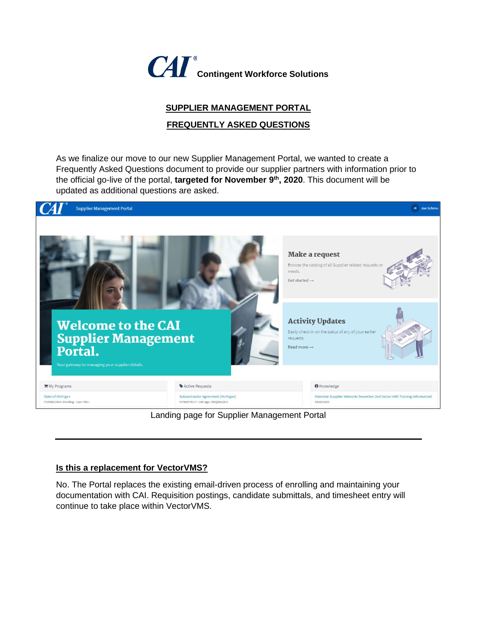

# **SUPPLIER MANAGEMENT PORTAL**

### **FREQUENTLY ASKED QUESTIONS**

As we finalize our move to our new Supplier Management Portal, we wanted to create a Frequently Asked Questions document to provide our supplier partners with information prior to the official go-live of the portal, **targeted for November 9th, 2020**. This document will be updated as additional questions are asked.



Landing page for Supplier Management Portal

#### **Is this a replacement for VectorVMS?**

No. The Portal replaces the existing email-driven process of enrolling and maintaining your documentation with CAI. Requisition postings, candidate submittals, and timesheet entry will continue to take place within VectorVMS.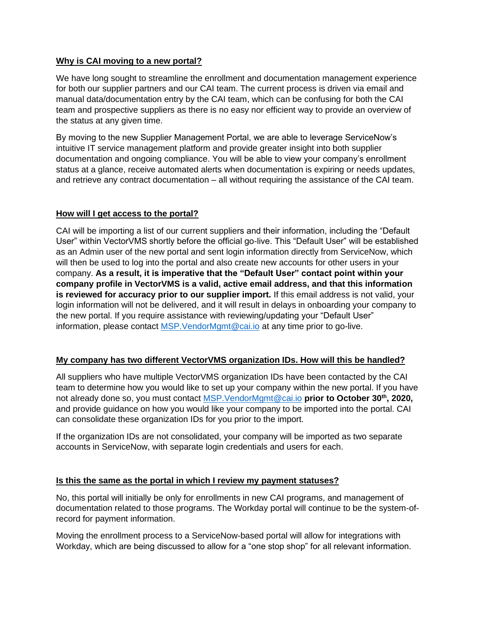### **Why is CAI moving to a new portal?**

We have long sought to streamline the enrollment and documentation management experience for both our supplier partners and our CAI team. The current process is driven via email and manual data/documentation entry by the CAI team, which can be confusing for both the CAI team and prospective suppliers as there is no easy nor efficient way to provide an overview of the status at any given time.

By moving to the new Supplier Management Portal, we are able to leverage ServiceNow's intuitive IT service management platform and provide greater insight into both supplier documentation and ongoing compliance. You will be able to view your company's enrollment status at a glance, receive automated alerts when documentation is expiring or needs updates, and retrieve any contract documentation – all without requiring the assistance of the CAI team.

### **How will I get access to the portal?**

CAI will be importing a list of our current suppliers and their information, including the "Default User" within VectorVMS shortly before the official go-live. This "Default User" will be established as an Admin user of the new portal and sent login information directly from ServiceNow, which will then be used to log into the portal and also create new accounts for other users in your company. **As a result, it is imperative that the "Default User" contact point within your company profile in VectorVMS is a valid, active email address, and that this information is reviewed for accuracy prior to our supplier import.** If this email address is not valid, your login information will not be delivered, and it will result in delays in onboarding your company to the new portal. If you require assistance with reviewing/updating your "Default User" information, please contact [MSP.VendorMgmt@cai.io](mailto:MSP.VendorMgmt@cai.io) at any time prior to go-live.

### **My company has two different VectorVMS organization IDs. How will this be handled?**

All suppliers who have multiple VectorVMS organization IDs have been contacted by the CAI team to determine how you would like to set up your company within the new portal. If you have not already done so, you must contact [MSP.VendorMgmt@cai.io](mailto:MSP.VendorMgmt@cai.io) **prior to October 30th, 2020,**  and provide guidance on how you would like your company to be imported into the portal. CAI can consolidate these organization IDs for you prior to the import.

If the organization IDs are not consolidated, your company will be imported as two separate accounts in ServiceNow, with separate login credentials and users for each.

### **Is this the same as the portal in which I review my payment statuses?**

No, this portal will initially be only for enrollments in new CAI programs, and management of documentation related to those programs. The Workday portal will continue to be the system-ofrecord for payment information.

Moving the enrollment process to a ServiceNow-based portal will allow for integrations with Workday, which are being discussed to allow for a "one stop shop" for all relevant information.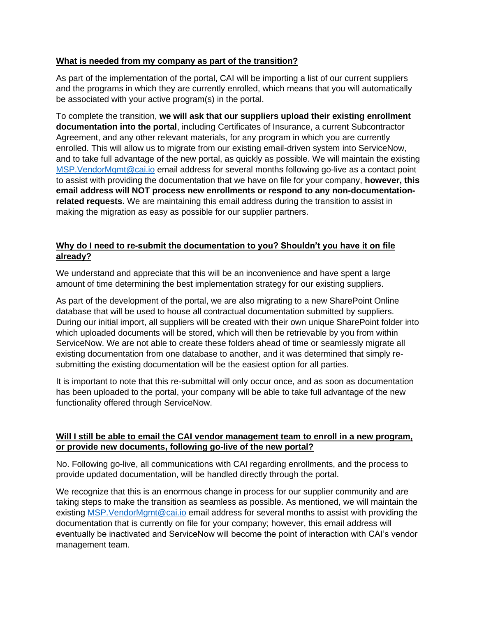### **What is needed from my company as part of the transition?**

As part of the implementation of the portal, CAI will be importing a list of our current suppliers and the programs in which they are currently enrolled, which means that you will automatically be associated with your active program(s) in the portal.

To complete the transition, **we will ask that our suppliers upload their existing enrollment documentation into the portal**, including Certificates of Insurance, a current Subcontractor Agreement, and any other relevant materials, for any program in which you are currently enrolled. This will allow us to migrate from our existing email-driven system into ServiceNow, and to take full advantage of the new portal, as quickly as possible. We will maintain the existing [MSP.VendorMgmt@cai.io](mailto:MSP.VendorMgmt@cai.io) email address for several months following go-live as a contact point to assist with providing the documentation that we have on file for your company, **however, this email address will NOT process new enrollments or respond to any non-documentationrelated requests.** We are maintaining this email address during the transition to assist in making the migration as easy as possible for our supplier partners.

## **Why do I need to re-submit the documentation to you? Shouldn't you have it on file already?**

We understand and appreciate that this will be an inconvenience and have spent a large amount of time determining the best implementation strategy for our existing suppliers.

As part of the development of the portal, we are also migrating to a new SharePoint Online database that will be used to house all contractual documentation submitted by suppliers. During our initial import, all suppliers will be created with their own unique SharePoint folder into which uploaded documents will be stored, which will then be retrievable by you from within ServiceNow. We are not able to create these folders ahead of time or seamlessly migrate all existing documentation from one database to another, and it was determined that simply resubmitting the existing documentation will be the easiest option for all parties.

It is important to note that this re-submittal will only occur once, and as soon as documentation has been uploaded to the portal, your company will be able to take full advantage of the new functionality offered through ServiceNow.

### **Will I still be able to email the CAI vendor management team to enroll in a new program, or provide new documents, following go-live of the new portal?**

No. Following go-live, all communications with CAI regarding enrollments, and the process to provide updated documentation, will be handled directly through the portal.

We recognize that this is an enormous change in process for our supplier community and are taking steps to make the transition as seamless as possible. As mentioned, we will maintain the existing [MSP.VendorMgmt@cai.io](mailto:MSP.VendorMgmt@cai.io) email address for several months to assist with providing the documentation that is currently on file for your company; however, this email address will eventually be inactivated and ServiceNow will become the point of interaction with CAI's vendor management team.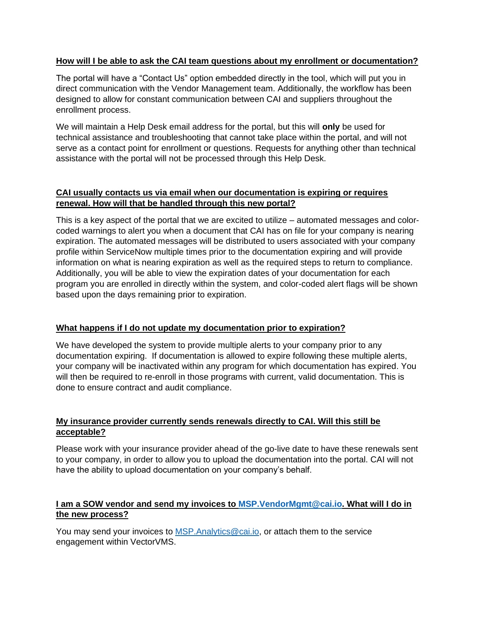### **How will I be able to ask the CAI team questions about my enrollment or documentation?**

The portal will have a "Contact Us" option embedded directly in the tool, which will put you in direct communication with the Vendor Management team. Additionally, the workflow has been designed to allow for constant communication between CAI and suppliers throughout the enrollment process.

We will maintain a Help Desk email address for the portal, but this will **only** be used for technical assistance and troubleshooting that cannot take place within the portal, and will not serve as a contact point for enrollment or questions. Requests for anything other than technical assistance with the portal will not be processed through this Help Desk.

## **CAI usually contacts us via email when our documentation is expiring or requires renewal. How will that be handled through this new portal?**

This is a key aspect of the portal that we are excited to utilize – automated messages and colorcoded warnings to alert you when a document that CAI has on file for your company is nearing expiration. The automated messages will be distributed to users associated with your company profile within ServiceNow multiple times prior to the documentation expiring and will provide information on what is nearing expiration as well as the required steps to return to compliance. Additionally, you will be able to view the expiration dates of your documentation for each program you are enrolled in directly within the system, and color-coded alert flags will be shown based upon the days remaining prior to expiration.

### **What happens if I do not update my documentation prior to expiration?**

We have developed the system to provide multiple alerts to your company prior to any documentation expiring. If documentation is allowed to expire following these multiple alerts, your company will be inactivated within any program for which documentation has expired. You will then be required to re-enroll in those programs with current, valid documentation. This is done to ensure contract and audit compliance.

### **My insurance provider currently sends renewals directly to CAI. Will this still be acceptable?**

Please work with your insurance provider ahead of the go-live date to have these renewals sent to your company, in order to allow you to upload the documentation into the portal. CAI will not have the ability to upload documentation on your company's behalf.

## **I am a SOW vendor and send my invoices to [MSP.VendorMgmt@cai.io.](mailto:MSP.VendorMgmt@cai.io) What will I do in the new process?**

You may send your invoices to [MSP.Analytics@cai.io,](mailto:MSP.Analytics@cai.io) or attach them to the service engagement within VectorVMS.